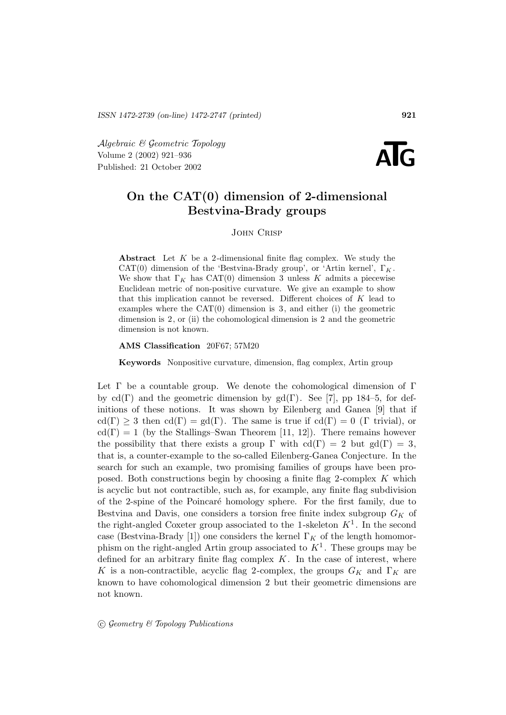Algebraic & Geometric Topology Volume 2 (2002) 921–936  $\mathcal{A}$ *lgebraic* & Geometric Topology<br>
Volume 2 (2002) 921–936<br>
Published: 21 October 2002



# **On the CAT(0) dimension of 2-dimensional Bestvina-Brady groups**

John Crisp

**Abstract** Let K be a 2-dimensional finite flag complex. We study the CAT(0) dimension of the 'Bestvina-Brady group', or 'Artin kernel',  $\Gamma_K$ . We show that  $\Gamma_K$  has CAT(0) dimension 3 unless K admits a piecewise Euclidean metric of non-positive curvature. We give an example to show that this implication cannot be reversed. Different choices of K lead to examples where the  $CAT(0)$  dimension is 3, and either (i) the geometric dimension is 2, or (ii) the cohomological dimension is 2 and the geometric dimension is not known.

#### **AMS Classification** 20F67; 57M20

**Keywords** Nonpositive curvature, dimension, flag complex, Artin group

Let Γ be a countable group. We denote the cohomological dimension of Γ by cd(Γ) and the geometric dimension by gd(Γ). See [7], pp 184–5, for definitions of these notions. It was shown by Eilenberg and Ganea [9] that if  $cd(\Gamma) \geq 3$  then  $cd(\Gamma) = gd(\Gamma)$ . The same is true if  $cd(\Gamma) = 0$  (Γ trivial), or  $cd(\Gamma) = 1$  (by the Stallings–Swan Theorem [11, 12]). There remains however the possibility that there exists a group  $\Gamma$  with  $cd(\Gamma) = 2$  but  $gd(\Gamma) = 3$ , that is, a counter-example to the so-called Eilenberg-Ganea Conjecture. In the search for such an example, two promising families of groups have been proposed. Both constructions begin by choosing a finite flag 2-complex K which is acyclic but not contractible, such as, for example, any finite flag subdivision of the 2-spine of the Poincaré homology sphere. For the first family, due to Bestvina and Davis, one considers a torsion free finite index subgroup  $G_K$  of the right-angled Coxeter group associated to the 1-skeleton  $K^1$ . In the second case (Bestvina-Brady [1]) one considers the kernel  $\Gamma_K$  of the length homomorphism on the right-angled Artin group associated to  $K<sup>1</sup>$ . These groups may be defined for an arbitrary finite flag complex  $K$ . In the case of interest, where K is a non-contractible, acyclic flag 2-complex, the groups  $G_K$  and  $\Gamma_K$  are known to have cohomological dimension 2 but their geometric dimensions are not known.

 $\odot$  Geometry & Topology Publications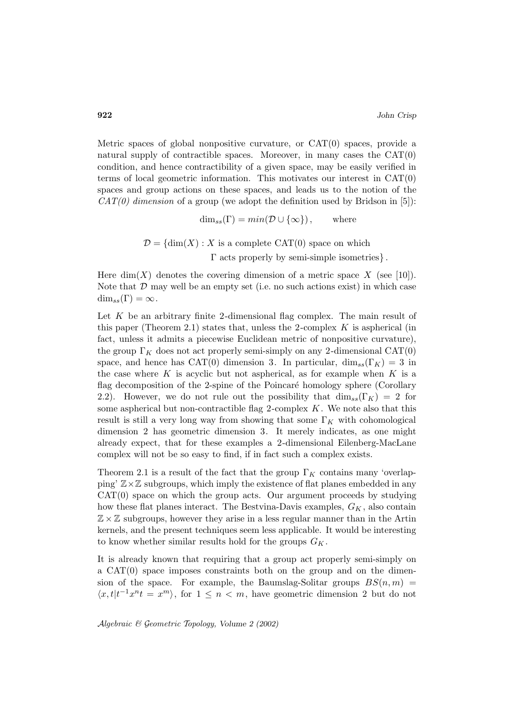Metric spaces of global nonpositive curvature, or  $CAT(0)$  spaces, provide a natural supply of contractible spaces. Moreover, in many cases the  $CAT(0)$ condition, and hence contractibility of a given space, may be easily verified in terms of local geometric information. This motivates our interest in CAT(0) spaces and group actions on these spaces, and leads us to the notion of the  $CAT(0)$  dimension of a group (we adopt the definition used by Bridson in [5]):

 $\dim_{ss}(\Gamma) = min(\mathcal{D} \cup {\infty})$ , where

 $\mathcal{D} = \{ \dim(X) : X \text{ is a complete CAT(0) space on which } \}$ Γ acts properly by semi-simple isometries} .

Here dim(X) denotes the covering dimension of a metric space X (see [10]). Note that  $D$  may well be an empty set (i.e. no such actions exist) in which case  $\dim_{ss}(\Gamma)=\infty$ .

Let  $K$  be an arbitrary finite 2-dimensional flag complex. The main result of this paper (Theorem 2.1) states that, unless the 2-complex  $K$  is aspherical (in fact, unless it admits a piecewise Euclidean metric of nonpositive curvature), the group  $\Gamma_K$  does not act properly semi-simply on any 2-dimensional CAT(0) space, and hence has CAT(0) dimension 3. In particular,  $\dim_{ss}(\Gamma_K) = 3$  in the case where K is acyclic but not aspherical, as for example when  $K$  is a flag decomposition of the 2-spine of the Poincaré homology sphere (Corollary 2.2). However, we do not rule out the possibility that  $\dim_{ss}(\Gamma_K) = 2$  for some aspherical but non-contractible flag 2-complex  $K$ . We note also that this result is still a very long way from showing that some  $\Gamma_K$  with cohomological dimension 2 has geometric dimension 3. It merely indicates, as one might already expect, that for these examples a 2-dimensional Eilenberg-MacLane complex will not be so easy to find, if in fact such a complex exists.

Theorem 2.1 is a result of the fact that the group  $\Gamma_K$  contains many 'overlapping'  $\mathbb{Z}\times\mathbb{Z}$  subgroups, which imply the existence of flat planes embedded in any  $CAT(0)$  space on which the group acts. Our argument proceeds by studying how these flat planes interact. The Bestvina-Davis examples,  $G_K$ , also contain  $\mathbb{Z} \times \mathbb{Z}$  subgroups, however they arise in a less regular manner than in the Artin kernels, and the present techniques seem less applicable. It would be interesting to know whether similar results hold for the groups  $G_K$ .

It is already known that requiring that a group act properly semi-simply on a CAT(0) space imposes constraints both on the group and on the dimension of the space. For example, the Baumslag-Solitar groups  $BS(n, m)$  =  $\langle x, t | t^{-1}x^n t = x^m \rangle$ , for  $1 \leq n < m$ , have geometric dimension 2 but do not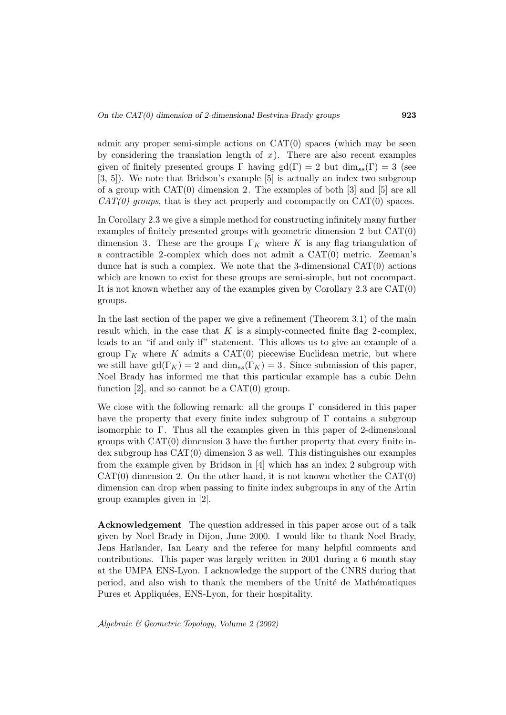admit any proper semi-simple actions on  $CAT(0)$  spaces (which may be seen by considering the translation length of  $x$ ). There are also recent examples given of finitely presented groups  $\Gamma$  having gd( $\Gamma$ ) = 2 but dim<sub>ss</sub>( $\Gamma$ ) = 3 (see [3, 5]). We note that Bridson's example [5] is actually an index two subgroup of a group with CAT(0) dimension 2. The examples of both [3] and [5] are all  $CAT(0)$  groups, that is they act properly and cocompactly on  $CAT(0)$  spaces.

In Corollary 2.3 we give a simple method for constructing infinitely many further examples of finitely presented groups with geometric dimension 2 but CAT(0) dimension 3. These are the groups  $\Gamma_K$  where K is any flag triangulation of a contractible 2-complex which does not admit a CAT(0) metric. Zeeman's dunce hat is such a complex. We note that the 3-dimensional  $CAT(0)$  actions which are known to exist for these groups are semi-simple, but not cocompact. It is not known whether any of the examples given by Corollary 2.3 are  $CAT(0)$ groups.

In the last section of the paper we give a refinement (Theorem 3.1) of the main result which, in the case that  $K$  is a simply-connected finite flag 2-complex, leads to an "if and only if" statement. This allows us to give an example of a group  $\Gamma_K$  where K admits a CAT(0) piecewise Euclidean metric, but where we still have gd( $\Gamma_K$ ) = 2 and dim<sub>ss</sub>( $\Gamma_K$ ) = 3. Since submission of this paper, Noel Brady has informed me that this particular example has a cubic Dehn function  $[2]$ , and so cannot be a  $CAT(0)$  group.

We close with the following remark: all the groups  $\Gamma$  considered in this paper have the property that every finite index subgroup of  $\Gamma$  contains a subgroup isomorphic to  $\Gamma$ . Thus all the examples given in this paper of 2-dimensional groups with CAT(0) dimension 3 have the further property that every finite index subgroup has CAT(0) dimension 3 as well. This distinguishes our examples from the example given by Bridson in [4] which has an index 2 subgroup with  $CAT(0)$  dimension 2. On the other hand, it is not known whether the  $CAT(0)$ dimension can drop when passing to finite index subgroups in any of the Artin group examples given in [2].

**Acknowledgement** The question addressed in this paper arose out of a talk given by Noel Brady in Dijon, June 2000. I would like to thank Noel Brady, Jens Harlander, Ian Leary and the referee for many helpful comments and contributions. This paper was largely written in 2001 during a 6 month stay at the UMPA ENS-Lyon. I acknowledge the support of the CNRS during that period, and also wish to thank the members of the Unité de Mathématiques Pures et Appliquées, ENS-Lyon, for their hospitality.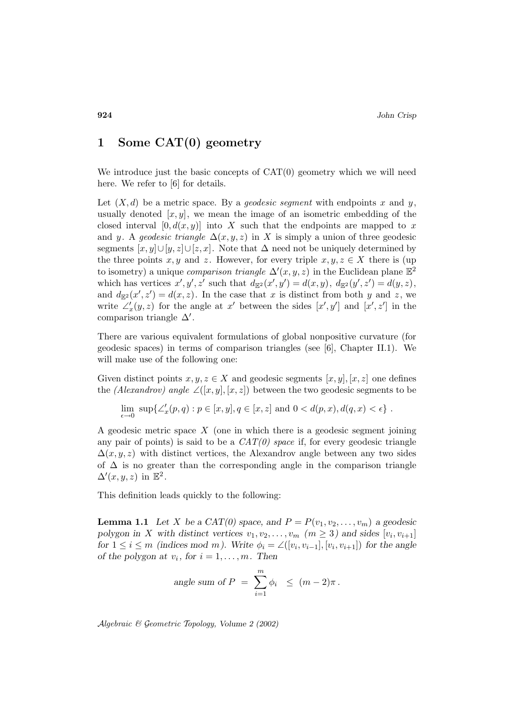#### **1 Some CAT(0) geometry**

We introduce just the basic concepts of  $CAT(0)$  geometry which we will need here. We refer to [6] for details.

Let  $(X, d)$  be a metric space. By a *geodesic segment* with endpoints x and y, usually denoted  $[x, y]$ , we mean the image of an isometric embedding of the closed interval  $[0, d(x, y)]$  into X such that the endpoints are mapped to x and y. A geodesic triangle  $\Delta(x, y, z)$  in X is simply a union of three geodesic segments  $[x, y] \cup [y, z] \cup [z, x]$ . Note that  $\Delta$  need not be uniquely determined by the three points x, y and z. However, for every triple  $x, y, z \in X$  there is (up to isometry) a unique *comparison triangle*  $\Delta'(x, y, z)$  in the Euclidean plane  $\mathbb{E}^2$ which has vertices  $x', y', z'$  such that  $d_{\mathbb{E}^2}(x', y') = d(x, y), d_{\mathbb{E}^2}(y', z') = d(y, z),$ and  $d_{\mathbb{E}^2}(x',z') = d(x,z)$ . In the case that x is distinct from both y and z, we write  $\angle'_x(y, z)$  for the angle at x' between the sides  $[x', y']$  and  $[x', z']$  in the comparison triangle  $\Delta'$ .

There are various equivalent formulations of global nonpositive curvature (for geodesic spaces) in terms of comparison triangles (see [6], Chapter II.1). We will make use of the following one:

Given distinct points  $x, y, z \in X$  and geodesic segments  $[x, y], [x, z]$  one defines the (Alexandrov) angle  $\angle([x, y], [x, z])$  between the two geodesic segments to be

$$
\lim_{\epsilon \to 0} \sup \{ \angle'_x(p,q) : p \in [x,y], q \in [x,z] \text{ and } 0 < d(p,x), d(q,x) < \epsilon \} .
$$

A geodesic metric space X (one in which there is a geodesic segment joining any pair of points) is said to be a  $CAT(0)$  space if, for every geodesic triangle  $\Delta(x, y, z)$  with distinct vertices, the Alexandrov angle between any two sides of  $\Delta$  is no greater than the corresponding angle in the comparison triangle  $\Delta'(x, y, z)$  in  $\mathbb{E}^2$ .

This definition leads quickly to the following:

**Lemma 1.1** *Let* X *be a CAT(0) space, and*  $P = P(v_1, v_2, \ldots, v_m)$  *a geodesic polygon in* X with distinct vertices  $v_1, v_2, \ldots, v_m$  *(m \ine 3)* and sides [ $v_i, v_{i+1}$ ] *for*  $1 \leq i \leq m$  *(indices mod m). Write*  $\phi_i = \angle([v_i, v_{i-1}], [v_i, v_{i+1}])$  *for the angle of the polygon at*  $v_i$ *, for*  $i = 1, \ldots, m$ *. Then* 

angle sum of 
$$
P = \sum_{i=1}^{m} \phi_i \leq (m-2)\pi
$$
.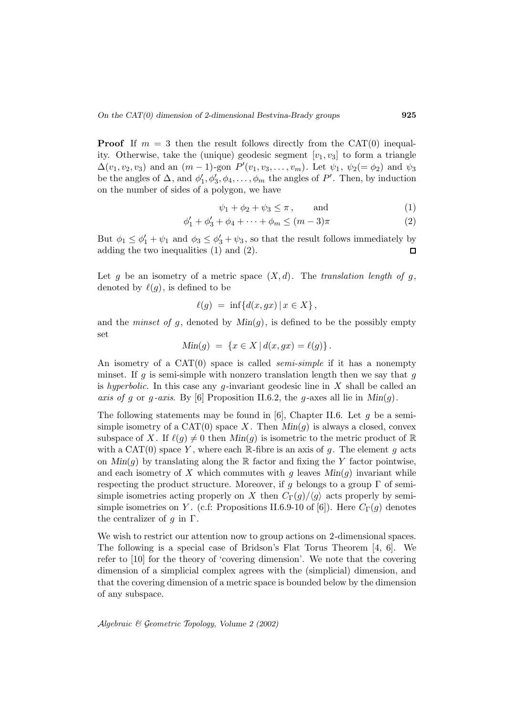**Proof** If  $m = 3$  then the result follows directly from the CAT(0) inequality. Otherwise, take the (unique) geodesic segment  $[v_1, v_3]$  to form a triangle  $\Delta(v_1, v_2, v_3)$  and an  $(m-1)$ -gon  $P'(v_1, v_3, \ldots, v_m)$ . Let  $\psi_1, \ \psi_2(=\phi_2)$  and  $\psi_3$ be the angles of  $\Delta$ , and  $\phi'_1, \phi'_3, \phi_4, \ldots, \phi_m$  the angles of  $P'$ . Then, by induction on the number of sides of a polygon, we have

$$
\psi_1 + \phi_2 + \psi_3 \le \pi \,, \qquad \text{and} \tag{1}
$$

$$
\phi_1' + \phi_3' + \phi_4 + \dots + \phi_m \le (m-3)\pi
$$
 (2)

But  $\phi_1 \leq \phi_1' + \psi_1$  and  $\phi_3 \leq \phi_3' + \psi_3$ , so that the result follows immediately by adding the two inequalities (1) and (2).  $\Box$ 

Let g be an isometry of a metric space  $(X, d)$ . The translation length of g, denoted by  $\ell(q)$ , is defined to be

$$
\ell(g) = \inf \{ d(x, gx) \mid x \in X \},
$$

and the *minset of g*, denoted by  $Min(g)$ , is defined to be the possibly empty set

$$
Min(g) = \{x \in X | d(x, gx) = \ell(g)\}.
$$

An isometry of a  $CAT(0)$  space is called *semi-simple* if it has a nonempty minset. If g is semi-simple with nonzero translation length then we say that g is hyperbolic. In this case any g-invariant geodesic line in  $X$  shall be called an axis of g or g-axis. By [6] Proposition II.6.2, the g-axes all lie in  $Min(g)$ .

The following statements may be found in [6], Chapter II.6. Let  $g$  be a semisimple isometry of a  $CAT(0)$  space X. Then  $Min(g)$  is always a closed, convex subspace of X. If  $\ell(g) \neq 0$  then  $Min(g)$  is isometric to the metric product of R with a CAT(0) space Y, where each R-fibre is an axis of g. The element g acts on  $Min(q)$  by translating along the R factor and fixing the Y factor pointwise, and each isometry of X which commutes with  $q$  leaves  $Min(q)$  invariant while respecting the product structure. Moreover, if g belongs to a group  $\Gamma$  of semisimple isometries acting properly on X then  $C_{\Gamma}(g)/\langle g \rangle$  acts properly by semisimple isometries on Y. (c.f: Propositions II.6.9-10 of [6]). Here  $C_{\Gamma}(g)$  denotes the centralizer of  $q$  in  $\Gamma$ .

We wish to restrict our attention now to group actions on 2-dimensional spaces. The following is a special case of Bridson's Flat Torus Theorem [4, 6]. We refer to [10] for the theory of 'covering dimension'. We note that the covering dimension of a simplicial complex agrees with the (simplicial) dimension, and that the covering dimension of a metric space is bounded below by the dimension of any subspace.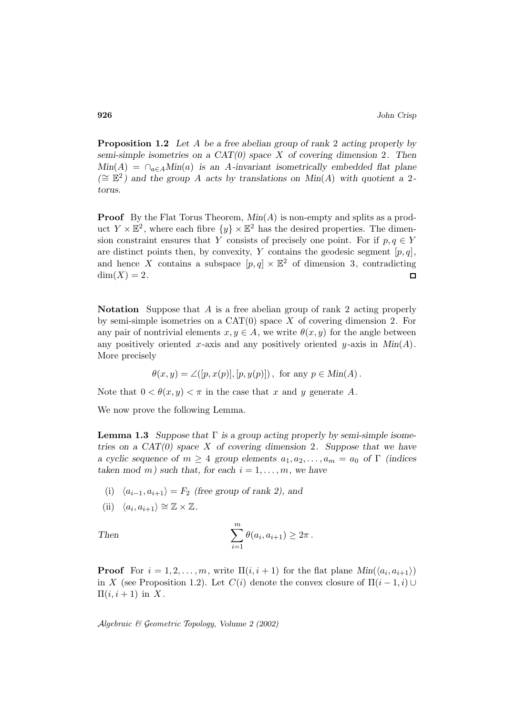**Proposition 1.2** *Let* A *be a free abelian group of rank* 2 *acting properly by semi-simple isometries on a CAT(0) space* X *of covering dimension* 2*. Then*  $Min(A) = \bigcap_{a \in A} Min(a)$  *is an A-invariant isometrically embedded flat plane (*∼= E<sup>2</sup> *) and the group* A *acts by translations on Min*(A) *with quotient a* 2 *torus.*

**Proof** By the Flat Torus Theorem,  $Min(A)$  is non-empty and splits as a product  $Y \times \mathbb{E}^2$ , where each fibre  $\{y\} \times \mathbb{E}^2$  has the desired properties. The dimension constraint ensures that Y consists of precisely one point. For if  $p, q \in Y$ are distinct points then, by convexity, Y contains the geodesic segment  $[p, q]$ , and hence X contains a subspace  $[p, q] \times \mathbb{E}^2$  of dimension 3, contradicting  $dim(X) = 2.$  $\Box$ 

**Notation** Suppose that A is a free abelian group of rank 2 acting properly by semi-simple isometries on a  $CAT(0)$  space X of covering dimension 2. For any pair of nontrivial elements  $x, y \in A$ , we write  $\theta(x, y)$  for the angle between any positively oriented x-axis and any positively oriented  $y$ -axis in  $Min(A)$ . More precisely

$$
\theta(x, y) = \angle([p, x(p)], [p, y(p)]), \text{ for any } p \in \text{Min}(A).
$$

Note that  $0 < \theta(x, y) < \pi$  in the case that x and y generate A.

We now prove the following Lemma.

**Lemma 1.3** *Suppose that* Γ *is a group acting properly by semi-simple isometries on a CAT(0) space* X *of covering dimension* 2*. Suppose that we have a cyclic sequence of*  $m \geq 4$  *group elements*  $a_1, a_2, \ldots, a_m = a_0$  *of* Γ *(indices taken mod m*) such that, for each  $i = 1, \ldots, m$ , we have

- (i)  $\langle a_{i-1}, a_{i+1} \rangle = F_2$  *(free group of rank 2), and*
- (ii)  $\langle a_i, a_{i+1} \rangle \cong \mathbb{Z} \times \mathbb{Z}$ .

Then 
$$
\sum_{i=1}^m \theta(a_i, a_{i+1}) \geq 2\pi.
$$

**Proof** For  $i = 1, 2, ..., m$ , write  $\Pi(i, i + 1)$  for the flat plane  $Min(\langle a_i, a_{i+1} \rangle)$ in X (see Proposition 1.2). Let  $C(i)$  denote the convex closure of  $\Pi(i-1,i) \cup$  $\Pi(i, i+1)$  in X.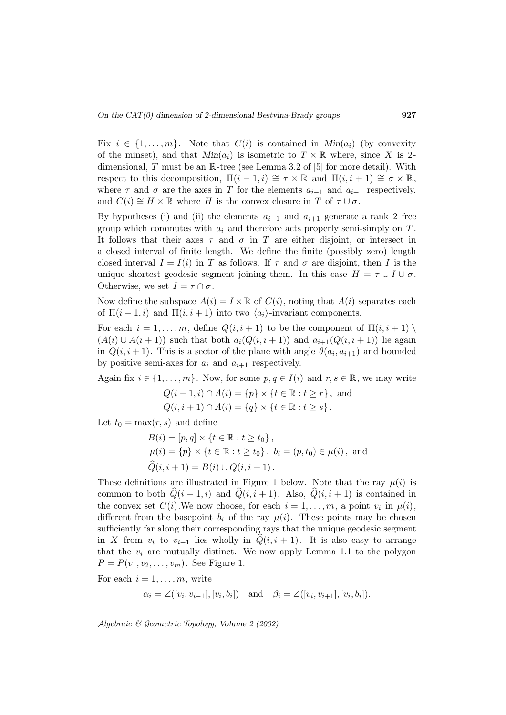Fix  $i \in \{1, \ldots, m\}$ . Note that  $C(i)$  is contained in  $Min(a_i)$  (by convexity of the minset), and that  $Min(a_i)$  is isometric to  $T \times \mathbb{R}$  where, since X is 2dimensional,  $T$  must be an  $\mathbb{R}$ -tree (see Lemma 3.2 of [5] for more detail). With respect to this decomposition,  $\Pi(i-1,i) \cong \tau \times \mathbb{R}$  and  $\Pi(i,i+1) \cong \sigma \times \mathbb{R}$ , where  $\tau$  and  $\sigma$  are the axes in T for the elements  $a_{i-1}$  and  $a_{i+1}$  respectively, and  $C(i) \cong H \times \mathbb{R}$  where H is the convex closure in T of  $\tau \cup \sigma$ .

By hypotheses (i) and (ii) the elements  $a_{i-1}$  and  $a_{i+1}$  generate a rank 2 free group which commutes with  $a_i$  and therefore acts properly semi-simply on T. It follows that their axes  $\tau$  and  $\sigma$  in T are either disjoint, or intersect in a closed interval of finite length. We define the finite (possibly zero) length closed interval  $I = I(i)$  in T as follows. If  $\tau$  and  $\sigma$  are disjoint, then I is the unique shortest geodesic segment joining them. In this case  $H = \tau \cup I \cup \sigma$ . Otherwise, we set  $I = \tau \cap \sigma$ .

Now define the subspace  $A(i) = I \times \mathbb{R}$  of  $C(i)$ , noting that  $A(i)$  separates each of  $\Pi(i-1,i)$  and  $\Pi(i,i+1)$  into two  $\langle a_i \rangle$ -invariant components.

For each  $i = 1, \ldots, m$ , define  $Q(i, i + 1)$  to be the component of  $\Pi(i, i + 1)$  $(A(i) \cup A(i+1))$  such that both  $a_i(Q(i,i+1))$  and  $a_{i+1}(Q(i,i+1))$  lie again in  $Q(i, i + 1)$ . This is a sector of the plane with angle  $\theta(a_i, a_{i+1})$  and bounded by positive semi-axes for  $a_i$  and  $a_{i+1}$  respectively.

Again fix  $i \in \{1, \ldots, m\}$ . Now, for some  $p, q \in I(i)$  and  $r, s \in \mathbb{R}$ , we may write

$$
Q(i - 1, i) \cap A(i) = \{p\} \times \{t \in \mathbb{R} : t \ge r\}, \text{ and}
$$
  

$$
Q(i, i + 1) \cap A(i) = \{q\} \times \{t \in \mathbb{R} : t \ge s\}.
$$

Let  $t_0 = \max(r, s)$  and define

$$
B(i) = [p, q] \times \{t \in \mathbb{R} : t \ge t_0\},
$$
  
\n
$$
\mu(i) = \{p\} \times \{t \in \mathbb{R} : t \ge t_0\}, b_i = (p, t_0) \in \mu(i), \text{ and}
$$
  
\n
$$
\widehat{Q}(i, i + 1) = B(i) \cup Q(i, i + 1).
$$

These definitions are illustrated in Figure 1 below. Note that the ray  $\mu(i)$  is common to both  $Q(i - 1, i)$  and  $Q(i, i + 1)$ . Also,  $Q(i, i + 1)$  is contained in the convex set  $C(i)$ . We now choose, for each  $i = 1, \ldots, m$ , a point  $v_i$  in  $\mu(i)$ , different from the basepoint  $b_i$  of the ray  $\mu(i)$ . These points may be chosen sufficiently far along their corresponding rays that the unique geodesic segment in X from  $v_i$  to  $v_{i+1}$  lies wholly in  $Q(i, i + 1)$ . It is also easy to arrange that the  $v_i$  are mutually distinct. We now apply Lemma 1.1 to the polygon  $P = P(v_1, v_2, \dots, v_m)$ . See Figure 1.

For each  $i = 1, \ldots, m$ , write

$$
\alpha_i = \angle([v_i, v_{i-1}], [v_i, b_i])
$$
 and  $\beta_i = \angle([v_i, v_{i+1}], [v_i, b_i]).$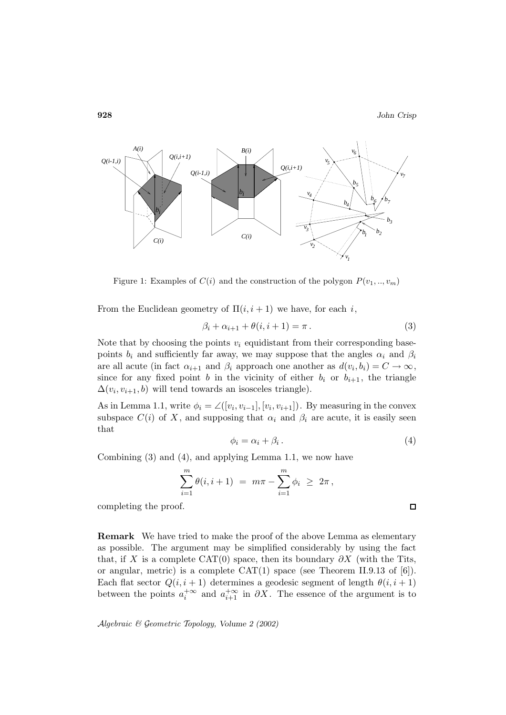$\Box$ 



Figure 1: Examples of  $C(i)$  and the construction of the polygon  $P(v_1, ..., v_m)$ 

From the Euclidean geometry of  $\Pi(i, i+1)$  we have, for each i,

$$
\beta_i + \alpha_{i+1} + \theta(i, i+1) = \pi.
$$
\n(3)

Note that by choosing the points  $v_i$  equidistant from their corresponding basepoints  $b_i$  and sufficiently far away, we may suppose that the angles  $\alpha_i$  and  $\beta_i$ are all acute (in fact  $\alpha_{i+1}$  and  $\beta_i$  approach one another as  $d(v_i, b_i) = C \rightarrow \infty$ , since for any fixed point b in the vicinity of either  $b_i$  or  $b_{i+1}$ , the triangle  $\Delta(v_i, v_{i+1}, b)$  will tend towards an isosceles triangle).

As in Lemma 1.1, write  $\phi_i = \angle([v_i, v_{i-1}], [v_i, v_{i+1}])$ . By measuring in the convex subspace  $C(i)$  of X, and supposing that  $\alpha_i$  and  $\beta_i$  are acute, it is easily seen that

$$
\phi_i = \alpha_i + \beta_i. \tag{4}
$$

Combining (3) and (4), and applying Lemma 1.1, we now have

$$
\sum_{i=1}^{m} \theta(i, i+1) = m\pi - \sum_{i=1}^{m} \phi_i \geq 2\pi,
$$

completing the proof.

**Remark** We have tried to make the proof of the above Lemma as elementary as possible. The argument may be simplified considerably by using the fact that, if X is a complete CAT(0) space, then its boundary  $\partial X$  (with the Tits, or angular, metric) is a complete  $CAT(1)$  space (see Theorem II.9.13 of [6]). Each flat sector  $Q(i, i + 1)$  determines a geodesic segment of length  $\theta(i, i + 1)$ between the points  $a_i^{+\infty}$  and  $a_{i+1}^{+\infty}$  in  $\partial X$ . The essence of the argument is to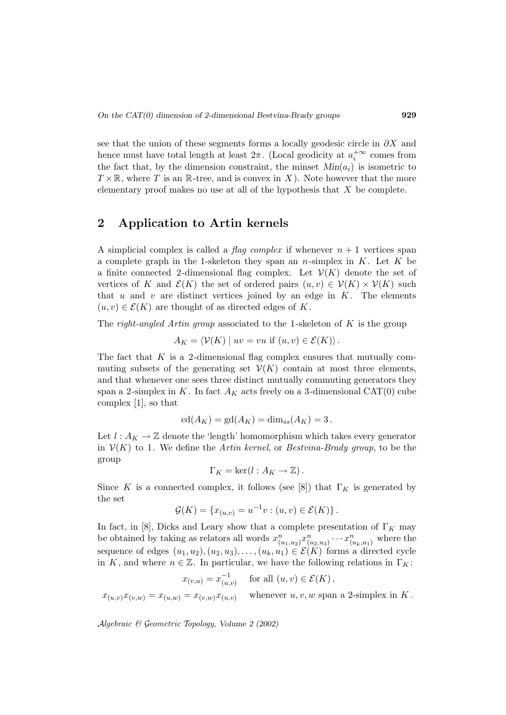see that the union of these segments forms a locally geodesic circle in  $\partial X$  and hence must have total length at least  $2\pi$ . (Local geodicity at  $a_i^{+\infty}$  comes from the fact that, by the dimension constraint, the minset  $Min(a_i)$  is isometric to  $T \times \mathbb{R}$ , where T is an  $\mathbb{R}$ -tree, and is convex in X). Note however that the more elementary proof makes no use at all of the hypothesis that  $X$  be complete.

# **2 Application to Artin kernels**

A simplicial complex is called a *flag complex* if whenever  $n + 1$  vertices span a complete graph in the 1-skeleton they span an n-simplex in  $K$ . Let K be a finite connected 2-dimensional flag complex. Let  $\mathcal{V}(K)$  denote the set of vertices of K and  $\mathcal{E}(K)$  the set of ordered pairs  $(u, v) \in \mathcal{V}(K) \times \mathcal{V}(K)$  such that u and v are distinct vertices joined by an edge in  $K$ . The elements  $(u, v) \in \mathcal{E}(K)$  are thought of as directed edges of K.

The right-angled Artin group associated to the 1-skeleton of  $K$  is the group

 $A_K = \langle V(K) | uv = vu$  if  $(u, v) \in \mathcal{E}(K) \rangle$ .

The fact that  $K$  is a 2-dimensional flag complex ensures that mutually commuting subsets of the generating set  $\mathcal{V}(K)$  contain at most three elements, and that whenever one sees three distinct mutually commuting generators they span a 2-simplex in K. In fact  $A_K$  acts freely on a 3-dimensional CAT(0) cube complex [1], so that

$$
\mathrm{cd}(A_K)=\mathrm{gd}(A_K)=\dim_{ss}(A_K)=3\,.
$$

Let  $l : A_K \to \mathbb{Z}$  denote the 'length' homomorphism which takes every generator in  $V(K)$  to 1. We define the *Artin kernel*, or *Bestvina-Brady group*, to be the group

$$
\Gamma_K = \ker(l : A_K \to \mathbb{Z}).
$$

Since K is a connected complex, it follows (see [8]) that  $\Gamma_K$  is generated by the set

$$
\mathcal{G}(K) = \{x_{(u,v)} = u^{-1}v : (u,v) \in \mathcal{E}(K)\}.
$$

In fact, in [8], Dicks and Leary show that a complete presentation of  $\Gamma_K$  may be obtained by taking as relators all words  $x_{(u_1,u_2)}^n x_{(u_2,u_3)}^n \cdots x_{(u_k,u_1)}^n$  where the sequence of edges  $(u_1, u_2), (u_2, u_3), \ldots, (u_k, u_1) \in \mathcal{E}(K)$  forms a directed cycle in K, and where  $n \in \mathbb{Z}$ . In particular, we have the following relations in  $\Gamma_K$ :

 $x_{(v,u)} = x_{(u,v)}^{-1}$  for all  $(u, v) \in \mathcal{E}(K)$ ,

 $x_{(u,v)}x_{(v,w)} = x_{(u,w)} = x_{(v,w)}x_{(u,v)}$  whenever  $u, v, w$  span a 2-simplex in K.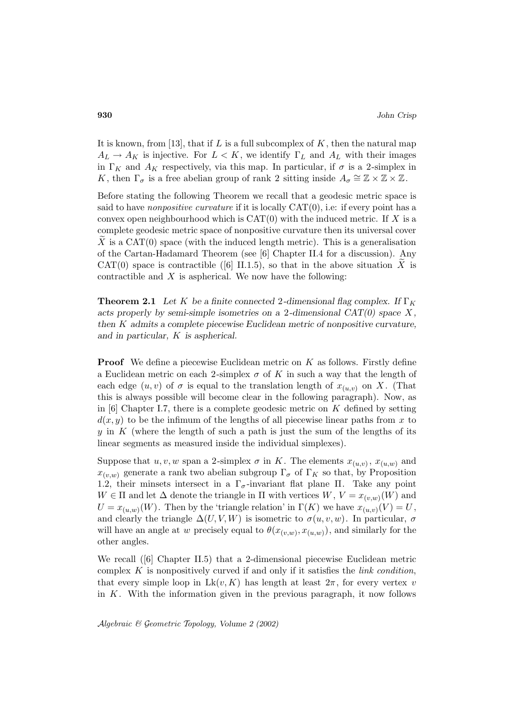It is known, from [13], that if L is a full subcomplex of  $K$ , then the natural map  $A_L \rightarrow A_K$  is injective. For  $L < K$ , we identify  $\Gamma_L$  and  $A_L$  with their images in  $\Gamma_K$  and  $A_K$  respectively, via this map. In particular, if  $\sigma$  is a 2-simplex in K, then  $\Gamma_{\sigma}$  is a free abelian group of rank 2 sitting inside  $A_{\sigma} \cong \mathbb{Z} \times \mathbb{Z} \times \mathbb{Z}$ .

Before stating the following Theorem we recall that a geodesic metric space is said to have *nonpositive curvature* if it is locally  $CAT(0)$ , i.e: if every point has a convex open neighbourhood which is  $CAT(0)$  with the induced metric. If X is a complete geodesic metric space of nonpositive curvature then its universal cover X is a CAT $(0)$  space (with the induced length metric). This is a generalisation of the Cartan-Hadamard Theorem (see [6] Chapter II.4 for a discussion). Any CAT(0) space is contractible ([6] II.1.5), so that in the above situation X is contractible and  $X$  is aspherical. We now have the following:

**Theorem 2.1** *Let* K *be a finite connected* 2-dimensional flag complex. If  $\Gamma_K$ *acts properly by semi-simple isometries on a* 2*-dimensional CAT(0) space* X *, then* K *admits a complete piecewise Euclidean metric of nonpositive curvature, and in particular,* K *is aspherical.*

**Proof** We define a piecewise Euclidean metric on K as follows. Firstly define a Euclidean metric on each 2-simplex  $\sigma$  of K in such a way that the length of each edge  $(u, v)$  of  $\sigma$  is equal to the translation length of  $x_{(u,v)}$  on X. (That this is always possible will become clear in the following paragraph). Now, as in  $[6]$  Chapter I.7, there is a complete geodesic metric on K defined by setting  $d(x, y)$  to be the infimum of the lengths of all piecewise linear paths from x to y in  $K$  (where the length of such a path is just the sum of the lengths of its linear segments as measured inside the individual simplexes).

Suppose that  $u, v, w$  span a 2-simplex  $\sigma$  in K. The elements  $x_{(u,v)}$ ,  $x_{(u,w)}$  and  $x_{(v,w)}$  generate a rank two abelian subgroup  $\Gamma_{\sigma}$  of  $\Gamma_{K}$  so that, by Proposition 1.2, their minsets intersect in a  $\Gamma_{\sigma}$ -invariant flat plane  $\Pi$ . Take any point  $W \in \Pi$  and let  $\Delta$  denote the triangle in  $\Pi$  with vertices  $W, V = x_{(v,w)}(W)$  and  $U = x_{(u,w)}(W)$ . Then by the 'triangle relation' in  $\Gamma(K)$  we have  $x_{(u,v)}(V) = U$ , and clearly the triangle  $\Delta(U, V, W)$  is isometric to  $\sigma(u, v, w)$ . In particular,  $\sigma$ will have an angle at w precisely equal to  $\theta(x_{(v,w)}, x_{(u,w)})$ , and similarly for the other angles.

We recall ([6] Chapter II.5) that a 2-dimensional piecewise Euclidean metric complex  $K$  is nonpositively curved if and only if it satisfies the *link condition*, that every simple loop in  $Lk(v, K)$  has length at least  $2\pi$ , for every vertex v in  $K$ . With the information given in the previous paragraph, it now follows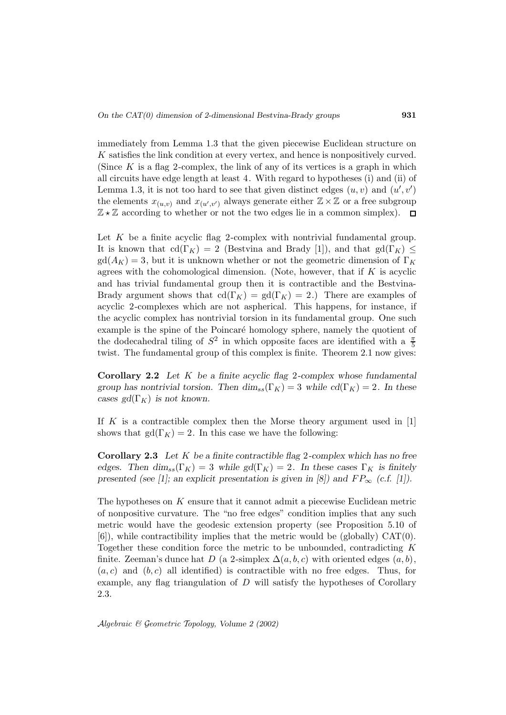immediately from Lemma 1.3 that the given piecewise Euclidean structure on K satisfies the link condition at every vertex, and hence is nonpositively curved. (Since  $K$  is a flag 2-complex, the link of any of its vertices is a graph in which all circuits have edge length at least 4. With regard to hypotheses (i) and (ii) of Lemma 1.3, it is not too hard to see that given distinct edges  $(u, v)$  and  $(u', v')$ the elements  $x_{(u,v)}$  and  $x_{(u',v')}$  always generate either  $\mathbb{Z} \times \mathbb{Z}$  or a free subgroup  $\mathbb{Z} \star \mathbb{Z}$  according to whether or not the two edges lie in a common simplex).  $\Box$ 

Let  $K$  be a finite acyclic flag 2-complex with nontrivial fundamental group. It is known that  $\text{cd}(\Gamma_K) = 2$  (Bestvina and Brady [1]), and that  $\text{gd}(\Gamma_K) \leq$  $gd(A_K) = 3$ , but it is unknown whether or not the geometric dimension of  $\Gamma_K$ agrees with the cohomological dimension. (Note, however, that if  $K$  is acyclic and has trivial fundamental group then it is contractible and the Bestvina-Brady argument shows that  $\text{cd}(\Gamma_K) = \text{gd}(\Gamma_K) = 2$ .) There are examples of acyclic 2-complexes which are not aspherical. This happens, for instance, if the acyclic complex has nontrivial torsion in its fundamental group. One such example is the spine of the Poincaré homology sphere, namely the quotient of the dodecahedral tiling of  $S^2$  in which opposite faces are identified with a  $\frac{\pi}{5}$ twist. The fundamental group of this complex is finite. Theorem 2.1 now gives:

**Corollary 2.2** *Let* K *be a finite acyclic flag* 2*-complex whose fundamental group has nontrivial torsion. Then*  $\dim_{ss}(\Gamma_K)=3$  *while*  $cd(\Gamma_K)=2$ *. In these cases gd*( $\Gamma_K$ ) *is not known.* 

If K is a contractible complex then the Morse theory argument used in  $[1]$ shows that  $gd(\Gamma_K) = 2$ . In this case we have the following:

**Corollary 2.3** *Let* K *be a finite contractible flag* 2*-complex which has no free edges.* Then  $\dim_{ss}(\Gamma_K)=3$  *while gd*( $\Gamma_K$ ) = 2*.* In these cases  $\Gamma_K$  *is finitely presented (see [1]; an explicit presentation is given in [8]) and*  $FP_{\infty}$  *(c.f. [1]).* 

The hypotheses on K ensure that it cannot admit a piecewise Euclidean metric of nonpositive curvature. The "no free edges" condition implies that any such metric would have the geodesic extension property (see Proposition 5.10 of  $[6]$ , while contractibility implies that the metric would be (globally)  $CAT(0)$ . Together these condition force the metric to be unbounded, contradicting  $K$ finite. Zeeman's dunce hat D (a 2-simplex  $\Delta(a, b, c)$  with oriented edges  $(a, b)$ ,  $(a, c)$  and  $(b, c)$  all identified) is contractible with no free edges. Thus, for example, any flag triangulation of D will satisfy the hypotheses of Corollary 2.3.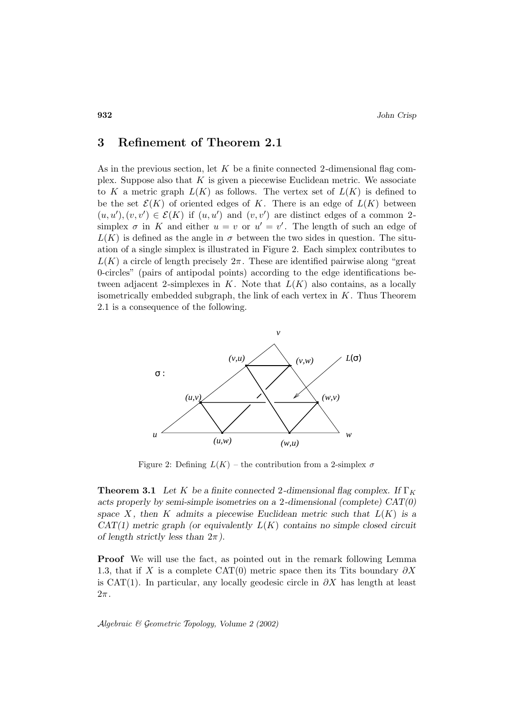### **3 Refinement of Theorem 2.1**

As in the previous section, let  $K$  be a finite connected 2-dimensional flag complex. Suppose also that  $K$  is given a piecewise Euclidean metric. We associate to K a metric graph  $L(K)$  as follows. The vertex set of  $L(K)$  is defined to be the set  $\mathcal{E}(K)$  of oriented edges of K. There is an edge of  $L(K)$  between  $(u, u'), (v, v') \in \mathcal{E}(K)$  if  $(u, u')$  and  $(v, v')$  are distinct edges of a common 2simplex  $\sigma$  in K and either  $u = v$  or  $u' = v'$ . The length of such an edge of  $L(K)$  is defined as the angle in  $\sigma$  between the two sides in question. The situation of a single simplex is illustrated in Figure 2. Each simplex contributes to  $L(K)$  a circle of length precisely  $2\pi$ . These are identified pairwise along "great" 0-circles" (pairs of antipodal points) according to the edge identifications between adjacent 2-simplexes in  $K$ . Note that  $L(K)$  also contains, as a locally isometrically embedded subgraph, the link of each vertex in  $K$ . Thus Theorem 2.1 is a consequence of the following.



Figure 2: Defining  $L(K)$  – the contribution from a 2-simplex  $\sigma$ 

**Theorem 3.1** Let K be a finite connected 2-dimensional flag complex. If  $\Gamma_K$ *acts properly by semi-simple isometries on a* 2*-dimensional (complete) CAT(0)* space  $X$ , then  $K$  admits a piecewise Euclidean metric such that  $L(K)$  is a *CAT(1) metric graph (or equivalently* L(K) *contains no simple closed circuit of length strictly less than* 2π*).*

**Proof** We will use the fact, as pointed out in the remark following Lemma 1.3, that if X is a complete CAT(0) metric space then its Tits boundary  $\partial X$ is CAT(1). In particular, any locally geodesic circle in  $\partial X$  has length at least  $2\pi$  .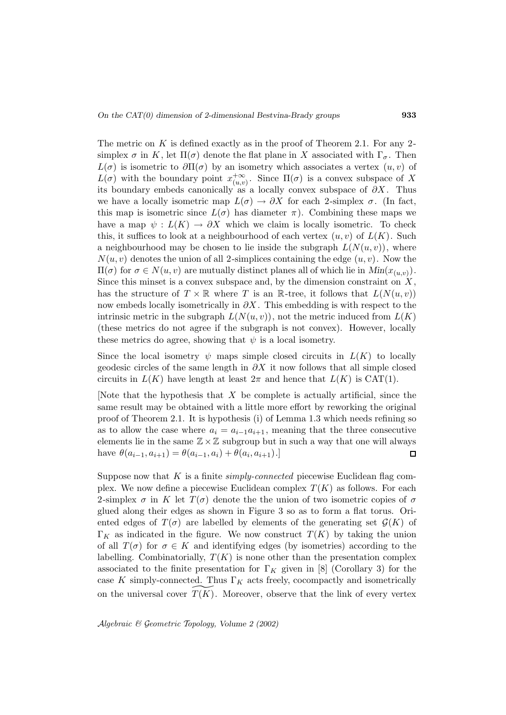The metric on  $K$  is defined exactly as in the proof of Theorem 2.1. For any 2simplex  $\sigma$  in K, let  $\Pi(\sigma)$  denote the flat plane in X associated with  $\Gamma_{\sigma}$ . Then  $L(\sigma)$  is isometric to  $\partial \Pi(\sigma)$  by an isometry which associates a vertex  $(u, v)$  of  $L(\sigma)$  with the boundary point  $x_{(u,v)}^{+\infty}$ . Since  $\Pi(\sigma)$  is a convex subspace of X its boundary embeds canonically as a locally convex subspace of  $\partial X$ . Thus we have a locally isometric map  $L(\sigma) \to \partial X$  for each 2-simplex  $\sigma$ . (In fact, this map is isometric since  $L(\sigma)$  has diameter  $\pi$ ). Combining these maps we have a map  $\psi : L(K) \to \partial X$  which we claim is locally isometric. To check this, it suffices to look at a neighbourhood of each vertex  $(u, v)$  of  $L(K)$ . Such a neighbourhood may be chosen to lie inside the subgraph  $L(N(u, v))$ , where  $N(u, v)$  denotes the union of all 2-simplices containing the edge  $(u, v)$ . Now the  $\Pi(\sigma)$  for  $\sigma \in N(u, v)$  are mutually distinct planes all of which lie in  $Min(x_{(u,v)})$ . Since this minset is a convex subspace and, by the dimension constraint on  $X$ , has the structure of  $T \times \mathbb{R}$  where T is an R-tree, it follows that  $L(N(u, v))$ now embeds locally isometrically in  $\partial X$ . This embedding is with respect to the intrinsic metric in the subgraph  $L(N(u, v))$ , not the metric induced from  $L(K)$ (these metrics do not agree if the subgraph is not convex). However, locally these metrics do agree, showing that  $\psi$  is a local isometry.

Since the local isometry  $\psi$  maps simple closed circuits in  $L(K)$  to locally geodesic circles of the same length in  $\partial X$  it now follows that all simple closed circuits in  $L(K)$  have length at least  $2\pi$  and hence that  $L(K)$  is CAT(1).

[Note that the hypothesis that X be complete is actually artificial, since the same result may be obtained with a little more effort by reworking the original proof of Theorem 2.1. It is hypothesis (i) of Lemma 1.3 which needs refining so as to allow the case where  $a_i = a_{i-1}a_{i+1}$ , meaning that the three consecutive elements lie in the same  $\mathbb{Z}\times\mathbb{Z}$  subgroup but in such a way that one will always have  $\theta(a_{i-1}, a_{i+1}) = \theta(a_{i-1}, a_i) + \theta(a_i, a_{i+1}).$  $\Box$ 

Suppose now that  $K$  is a finite *simply-connected* piecewise Euclidean flag complex. We now define a piecewise Euclidean complex  $T(K)$  as follows. For each 2-simplex  $\sigma$  in K let  $T(\sigma)$  denote the the union of two isometric copies of  $\sigma$ glued along their edges as shown in Figure 3 so as to form a flat torus. Oriented edges of  $T(\sigma)$  are labelled by elements of the generating set  $\mathcal{G}(K)$  of  $\Gamma_K$  as indicated in the figure. We now construct  $T(K)$  by taking the union of all  $T(\sigma)$  for  $\sigma \in K$  and identifying edges (by isometries) according to the labelling. Combinatorially,  $T(K)$  is none other than the presentation complex associated to the finite presentation for  $\Gamma_K$  given in [8] (Corollary 3) for the case K simply-connected. Thus  $\Gamma_K$  acts freely, cocompactly and isometrically on the universal cover  $T(K)$ . Moreover, observe that the link of every vertex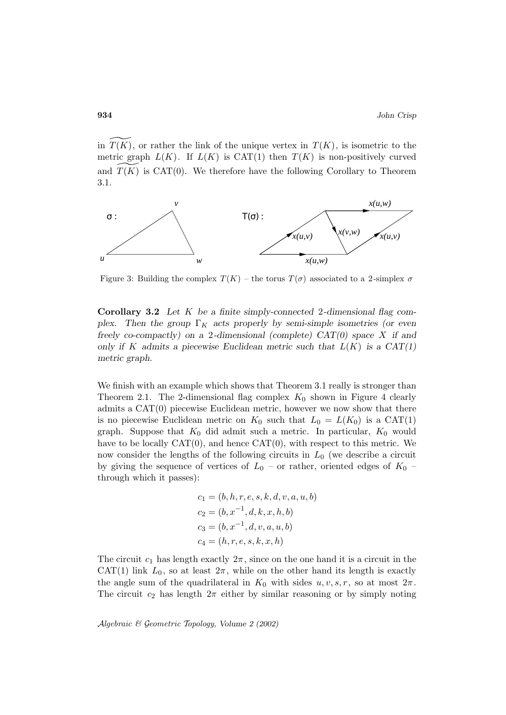in  $T(K)$ , or rather the link of the unique vertex in  $T(K)$ , is isometric to the metric graph  $L(K)$ . If  $L(K)$  is CAT(1) then  $T(K)$  is non-positively curved and  $T(K)$  is CAT(0). We therefore have the following Corollary to Theorem 3.1.



Figure 3: Building the complex  $T(K)$  – the torus  $T(\sigma)$  associated to a 2-simplex  $\sigma$ 

**Corollary 3.2** *Let* K *be a finite simply-connected* 2*-dimensional flag complex.* Then the group  $\Gamma_K$  acts properly by semi-simple isometries (or even *freely co-compactly) on a* 2*-dimensional (complete) CAT(0) space* X *if and* only if K admits a piecewise Euclidean metric such that  $L(K)$  is a  $CAT(1)$ *metric graph.*

We finish with an example which shows that Theorem 3.1 really is stronger than Theorem 2.1. The 2-dimensional flag complex  $K_0$  shown in Figure 4 clearly admits a CAT(0) piecewise Euclidean metric, however we now show that there is no piecewise Euclidean metric on  $K_0$  such that  $L_0 = L(K_0)$  is a CAT(1) graph. Suppose that  $K_0$  did admit such a metric. In particular,  $K_0$  would have to be locally  $CAT(0)$ , and hence  $CAT(0)$ , with respect to this metric. We now consider the lengths of the following circuits in  $L_0$  (we describe a circuit by giving the sequence of vertices of  $L_0$  – or rather, oriented edges of  $K_0$  – through which it passes):

$$
c_1 = (b, h, r, e, s, k, d, v, a, u, b)
$$
  
\n
$$
c_2 = (b, x^{-1}, d, k, x, h, b)
$$
  
\n
$$
c_3 = (b, x^{-1}, d, v, a, u, b)
$$
  
\n
$$
c_4 = (h, r, e, s, k, x, h)
$$

The circuit  $c_1$  has length exactly  $2\pi$ , since on the one hand it is a circuit in the CAT(1) link  $L_0$ , so at least  $2\pi$ , while on the other hand its length is exactly the angle sum of the quadrilateral in  $K_0$  with sides  $u, v, s, r$ , so at most  $2\pi$ . The circuit  $c_2$  has length  $2\pi$  either by similar reasoning or by simply noting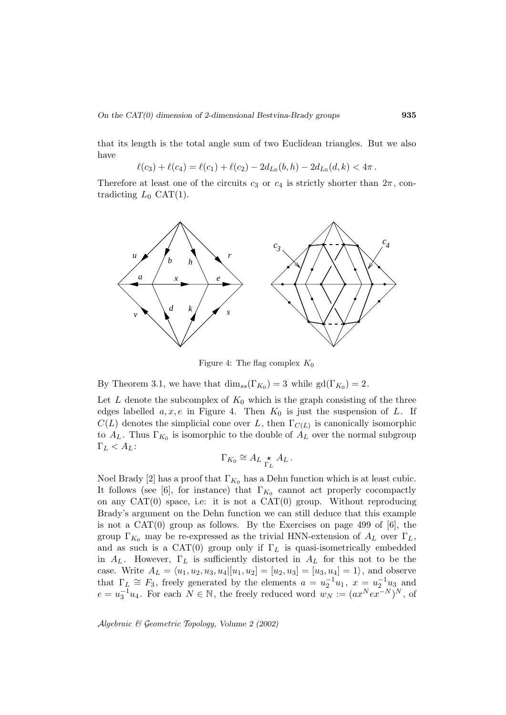that its length is the total angle sum of two Euclidean triangles. But we also have

$$
\ell(c_3) + \ell(c_4) = \ell(c_1) + \ell(c_2) - 2d_{L_0}(b, h) - 2d_{L_0}(d, k) < 4\pi.
$$

Therefore at least one of the circuits  $c_3$  or  $c_4$  is strictly shorter than  $2\pi$ , contradicting  $L_0$  CAT(1).



Figure 4: The flag complex  $K_0$ 

By Theorem 3.1, we have that  $\dim_{ss}(\Gamma_{K_0}) = 3$  while  $gd(\Gamma_{K_0}) = 2$ .

Let  $L$  denote the subcomplex of  $K_0$  which is the graph consisting of the three edges labelled  $a, x, e$  in Figure 4. Then  $K_0$  is just the suspension of L. If  $C(L)$  denotes the simplicial cone over L, then  $\Gamma_{C(L)}$  is canonically isomorphic to  $A_L$ . Thus  $\Gamma_{K_0}$  is isomorphic to the double of  $A_L$  over the normal subgroup  $\Gamma_L < A_L$ :

$$
\Gamma_{K_0} \cong A_L \underset{\Gamma_L}{\star} A_L.
$$

Noel Brady [2] has a proof that  $\Gamma_{K_0}$  has a Dehn function which is at least cubic. It follows (see [6], for instance) that  $\Gamma_{K_0}$  cannot act properly cocompactly on any  $CAT(0)$  space, i.e: it is not a  $CAT(0)$  group. Without reproducing Brady's argument on the Dehn function we can still deduce that this example is not a  $CAT(0)$  group as follows. By the Exercises on page 499 of [6], the group  $\Gamma_{K_0}$  may be re-expressed as the trivial HNN-extension of  $A_L$  over  $\Gamma_L$ , and as such is a CAT(0) group only if  $\Gamma_L$  is quasi-isometrically embedded in  $A_L$ . However,  $\Gamma_L$  is sufficiently distorted in  $A_L$  for this not to be the case. Write  $A_L = \langle u_1, u_2, u_3, u_4 | [u_1, u_2] = [u_2, u_3] = [u_3, u_4] = 1 \rangle$ , and observe that  $\Gamma_L \cong F_3$ , freely generated by the elements  $a = u_2^{-1}u_1$ ,  $x = u_2^{-1}u_3$  and  $e = u_3^{-1}u_4$ . For each  $N \in \mathbb{N}$ , the freely reduced word  $w_N := (ax^Nex^{-N})^N$ , of